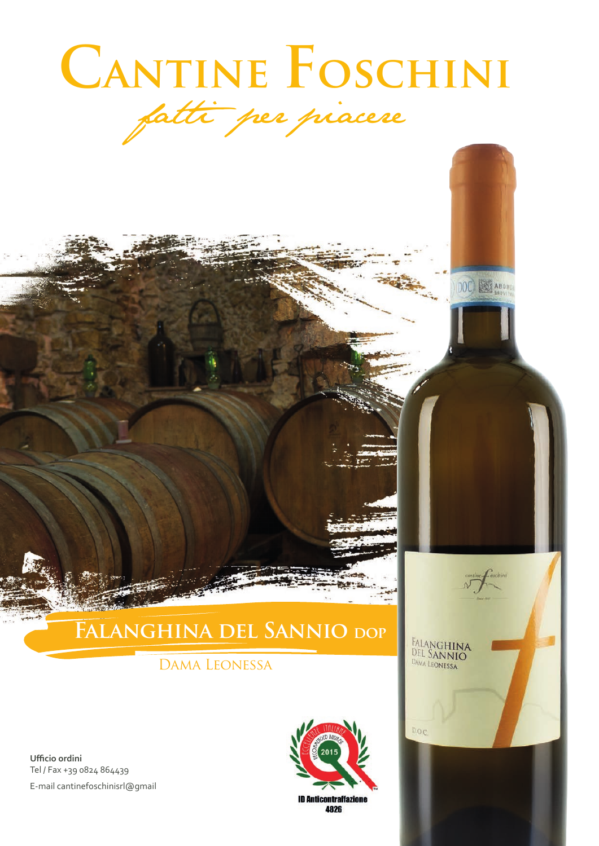# CANTINE FOSCHINI fatti per piacere

DOC) SE ABON

FALANGHINA<br>Del Sannio<br><sub>Dama Leonessa</sub>

D.O.C

# **Falanghina del Sannio dop**

## Dama Leonessa

**Ufficio ordini** Tel / Fax +39 0824 864439 E-mail cantinefoschinisrl@gmail



4826